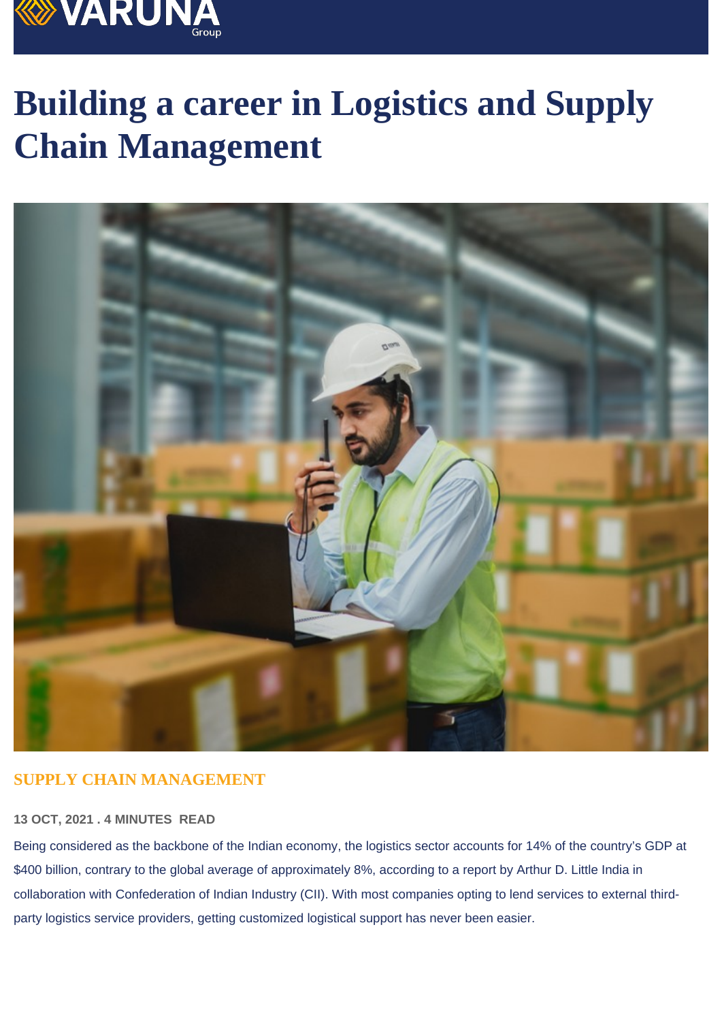# Building a career in Logistics and Supply Chain Management

#### SUPPLY CHAIN MANAGEMENT

#### 13 OCT, 2021 . 4 MINUTES READ

Being considered as the backbone of the Indian economy, the logistics sector accounts for 14% of the country's GDP at \$400 billion, contrary to the global average of approximately 8%, according to a report by Arthur D. Little India in collaboration with Confederation of Indian Industry (CII). With most companies opting to lend services to external thirdparty logistics service providers, getting customized logistical support has never been easier.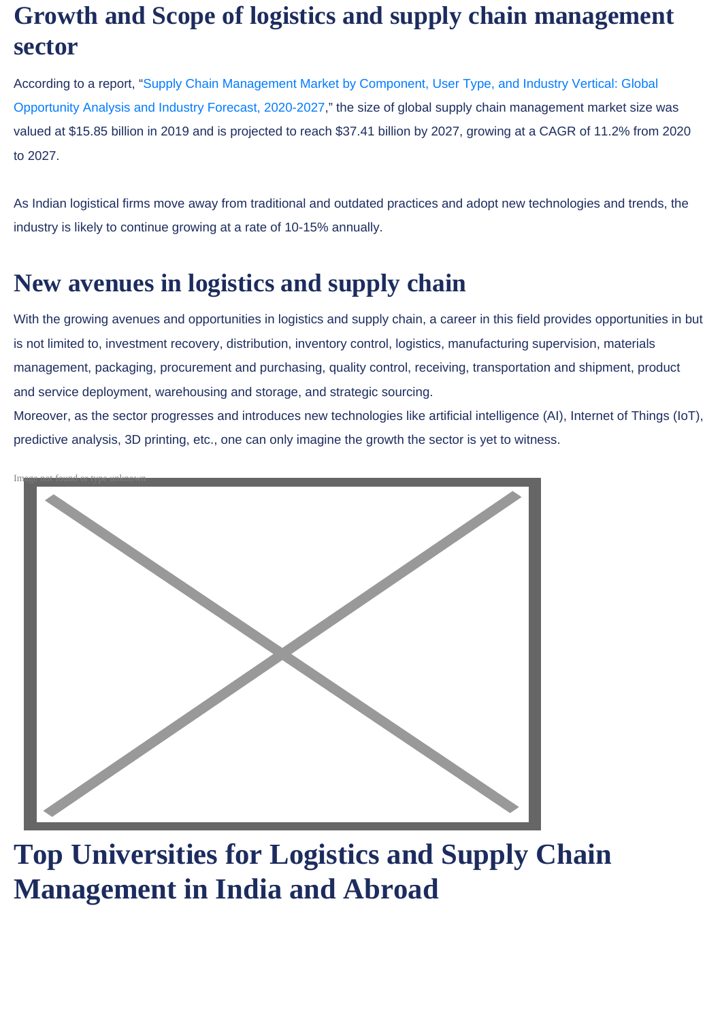# Growth and Scope of logistics and supply chain management sector

According to a report, ["Supply Chain Management Market by Component, User Type, and Industry Vertical: Global](https://www.researchandmarkets.com/reports/5125467/supply-chain-management-market-by-component-user?utm_source=BW&utm_medium=PressRelease&utm_code=b5xf33&utm_campaign=1425754+-+Global+Supply+Chain+Management+Market+(2020+to+2027)+-+by+Component,+User+Type,+and+Industry+Vertical&utm_exec=jamu273prd)  [Opportunity Analysis and Industry Forecast, 2020-2027](https://www.researchandmarkets.com/reports/5125467/supply-chain-management-market-by-component-user?utm_source=BW&utm_medium=PressRelease&utm_code=b5xf33&utm_campaign=1425754+-+Global+Supply+Chain+Management+Market+(2020+to+2027)+-+by+Component,+User+Type,+and+Industry+Vertical&utm_exec=jamu273prd)," the size of global supply chain management market size was valued at \$15.85 billion in 2019 and is projected to reach \$37.41 billion by 2027, growing at a CAGR of 11.2% from 2020 to 2027.

As Indian logistical firms move away from traditional and outdated practices and adopt new technologies and trends, the industry is likely to continue growing at a rate of 10-15% annually.

# New avenues in logistics and supply chain

With the growing avenues and opportunities in logistics and supply chain, a career in this field provides opportunities in but is not limited to, investment recovery, distribution, inventory control, logistics, manufacturing supervision, materials management, packaging, procurement and purchasing, quality control, receiving, transportation and shipment, product and service deployment, warehousing and storage, and strategic sourcing.

Moreover, as the sector progresses and introduces new technologies like artificial intelligence (AI), Internet of Things (IoT), predictive analysis, 3D printing, etc., one can only imagine the growth the sector is yet to witness.



Top Universities for Logistics and Supply Chain Management in India and Abroad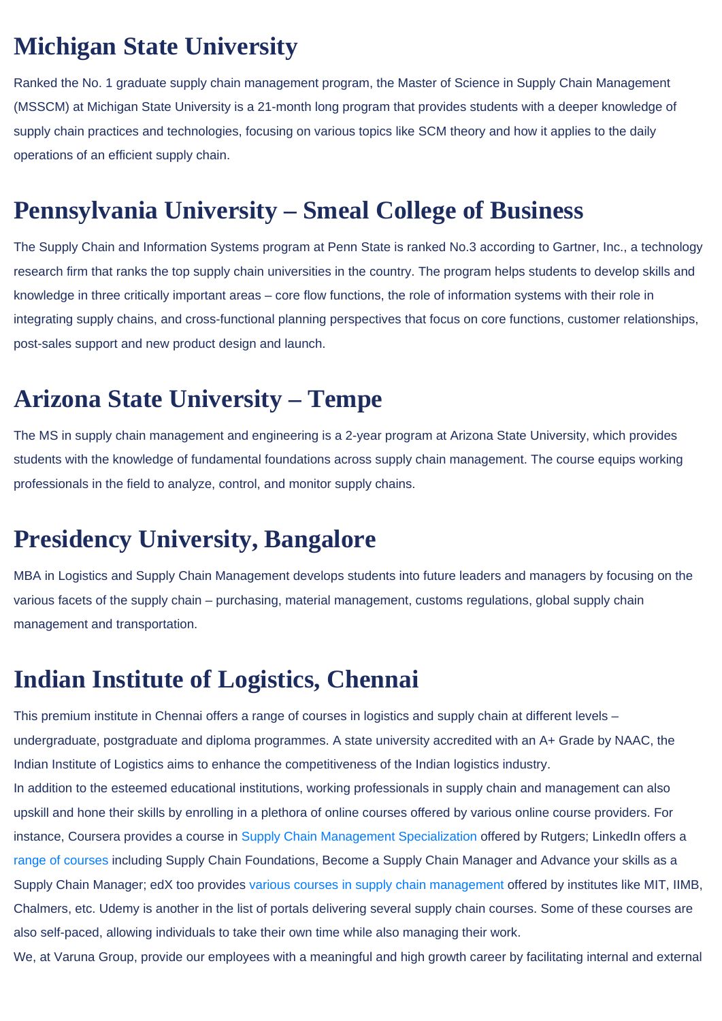# Michigan State University

Ranked the No. 1 graduate supply chain management program, the Master of Science in Supply Chain Management (MSSCM) at Michigan State University is a 21-month long program that provides students with a deeper knowledge of supply chain practices and technologies, focusing on various topics like SCM theory and how it applies to the daily operations of an efficient supply chain.

# Pennsylvania University – Smeal College of Business

The Supply Chain and Information Systems program at Penn State is ranked No.3 according to Gartner, Inc., a technology research firm that ranks the top supply chain universities in the country. The program helps students to develop skills and knowledge in three critically important areas – core flow functions, the role of information systems with their role in integrating supply chains, and cross-functional planning perspectives that focus on core functions, customer relationships, post-sales support and new product design and launch.

### Arizona State University – Tempe

The MS in supply chain management and engineering is a 2-year program at Arizona State University, which provides students with the knowledge of fundamental foundations across supply chain management. The course equips working professionals in the field to analyze, control, and monitor supply chains.

### Presidency University, Bangalore

MBA in Logistics and Supply Chain Management develops students into future leaders and managers by focusing on the various facets of the supply chain – purchasing, material management, customs regulations, global supply chain management and transportation.

### Indian Institute of Logistics, Chennai

This premium institute in Chennai offers a range of courses in logistics and supply chain at different levels – undergraduate, postgraduate and diploma programmes. A state university accredited with an A+ Grade by NAAC, the Indian Institute of Logistics aims to enhance the competitiveness of the Indian logistics industry. In addition to the esteemed educational institutions, working professionals in supply chain and management can also

upskill and hone their skills by enrolling in a plethora of online courses offered by various online course providers. For instance, Coursera provides a course in [Supply Chain Management Specialization](https://www.coursera.org/specializations/supply-chain-management)offered by Rutgers; LinkedIn offers a range of courses including Supply Chain Foundations, Become a Supply Chain Manager and Advance your skills as a Supply Chain Manager; edX too provides [various courses in supply chain management](https://www.edx.org/learn/supply-chain-management) offered by institutes like MIT, IIMB, Chalmers, etc. Udemy is another in the list of portals delivering several supply chain courses. Some of these courses are also self-paced, allowing individuals to take their own time while also managing their work.

We, at Varuna Group, provide our employees with a meaningful and high growth career by facilitating internal and external